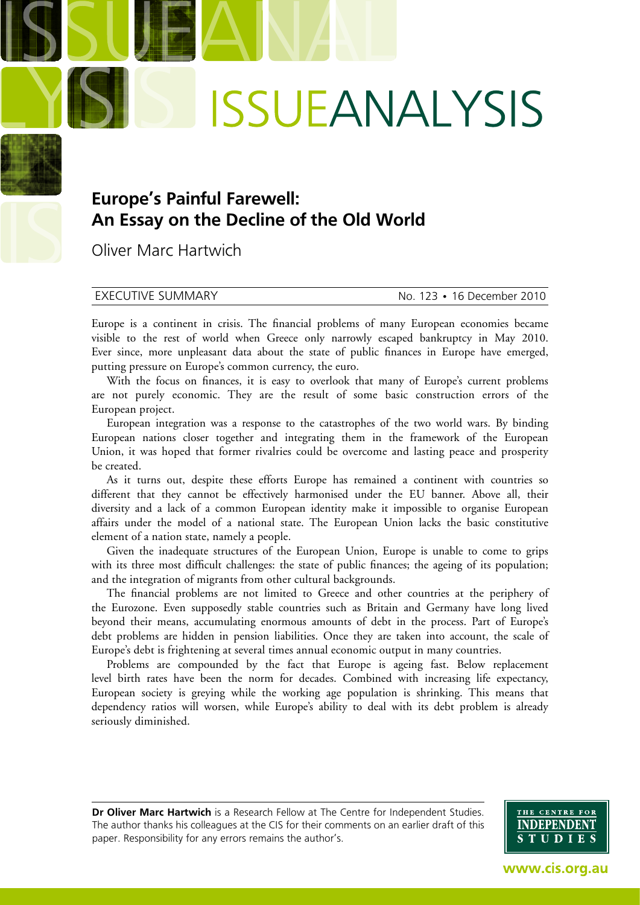# **ISSUEANALYSIS**

# **Europe's Painful Farewell: An Essay on the Decline of the Old World**

Oliver Marc Hartwich

EXECUTIVE SUMMARY No. 123 • 16 December 2010

Europe is a continent in crisis. The financial problems of many European economies became visible to the rest of world when Greece only narrowly escaped bankruptcy in May 2010. Ever since, more unpleasant data about the state of public finances in Europe have emerged, putting pressure on Europe's common currency, the euro.

With the focus on finances, it is easy to overlook that many of Europe's current problems are not purely economic. They are the result of some basic construction errors of the European project.

European integration was a response to the catastrophes of the two world wars. By binding European nations closer together and integrating them in the framework of the European Union, it was hoped that former rivalries could be overcome and lasting peace and prosperity be created.

As it turns out, despite these efforts Europe has remained a continent with countries so different that they cannot be effectively harmonised under the EU banner. Above all, their diversity and a lack of a common European identity make it impossible to organise European affairs under the model of a national state. The European Union lacks the basic constitutive element of a nation state, namely a people.

Given the inadequate structures of the European Union, Europe is unable to come to grips with its three most difficult challenges: the state of public finances; the ageing of its population; and the integration of migrants from other cultural backgrounds.

The financial problems are not limited to Greece and other countries at the periphery of the Eurozone. Even supposedly stable countries such as Britain and Germany have long lived beyond their means, accumulating enormous amounts of debt in the process. Part of Europe's debt problems are hidden in pension liabilities. Once they are taken into account, the scale of Europe's debt is frightening at several times annual economic output in many countries.

Problems are compounded by the fact that Europe is ageing fast. Below replacement level birth rates have been the norm for decades. Combined with increasing life expectancy, European society is greying while the working age population is shrinking. This means that dependency ratios will worsen, while Europe's ability to deal with its debt problem is already seriously diminished.

**Dr Oliver Marc Hartwich** is a Research Fellow at The Centre for Independent Studies. The author thanks his colleagues at the CIS for their comments on an earlier draft of this paper. Responsibility for any errors remains the author's.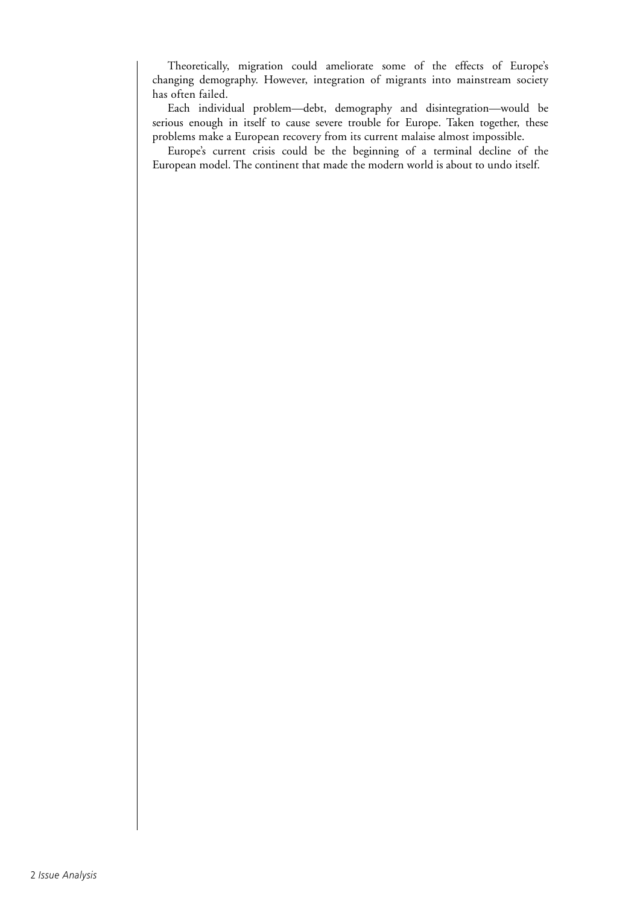Theoretically, migration could ameliorate some of the effects of Europe's changing demography. However, integration of migrants into mainstream society has often failed.

Each individual problem—debt, demography and disintegration—would be serious enough in itself to cause severe trouble for Europe. Taken together, these problems make a European recovery from its current malaise almost impossible.

Europe's current crisis could be the beginning of a terminal decline of the European model. The continent that made the modern world is about to undo itself.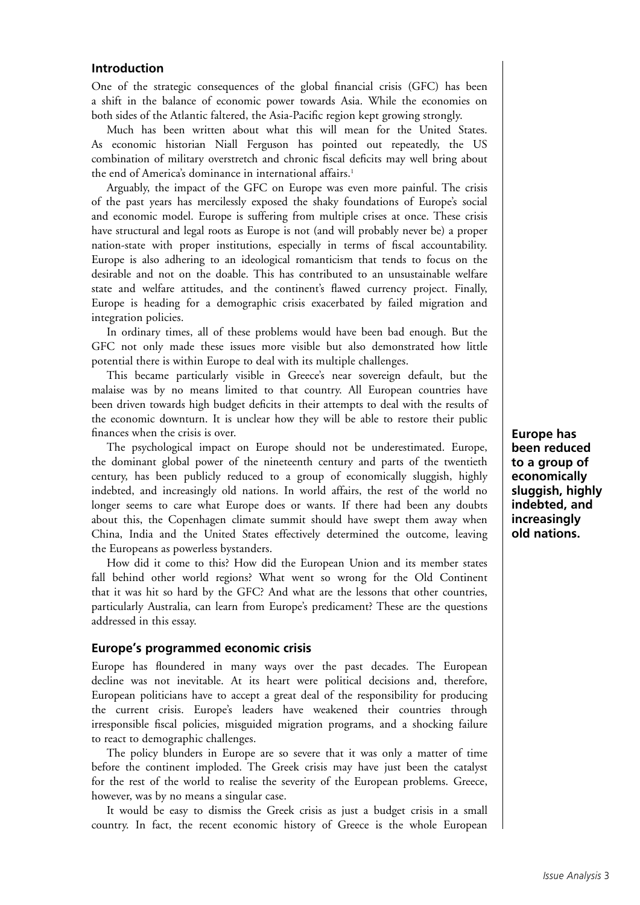# **Introduction**

One of the strategic consequences of the global financial crisis (GFC) has been a shift in the balance of economic power towards Asia. While the economies on both sides of the Atlantic faltered, the Asia-Pacific region kept growing strongly.

Much has been written about what this will mean for the United States. As economic historian Niall Ferguson has pointed out repeatedly, the US combination of military overstretch and chronic fiscal deficits may well bring about the end of America's dominance in international affairs.<sup>1</sup>

Arguably, the impact of the GFC on Europe was even more painful. The crisis of the past years has mercilessly exposed the shaky foundations of Europe's social and economic model. Europe is suffering from multiple crises at once. These crisis have structural and legal roots as Europe is not (and will probably never be) a proper nation-state with proper institutions, especially in terms of fiscal accountability. Europe is also adhering to an ideological romanticism that tends to focus on the desirable and not on the doable. This has contributed to an unsustainable welfare state and welfare attitudes, and the continent's flawed currency project. Finally, Europe is heading for a demographic crisis exacerbated by failed migration and integration policies.

In ordinary times, all of these problems would have been bad enough. But the GFC not only made these issues more visible but also demonstrated how little potential there is within Europe to deal with its multiple challenges.

This became particularly visible in Greece's near sovereign default, but the malaise was by no means limited to that country. All European countries have been driven towards high budget deficits in their attempts to deal with the results of the economic downturn. It is unclear how they will be able to restore their public finances when the crisis is over.

The psychological impact on Europe should not be underestimated. Europe, the dominant global power of the nineteenth century and parts of the twentieth century, has been publicly reduced to a group of economically sluggish, highly indebted, and increasingly old nations. In world affairs, the rest of the world no longer seems to care what Europe does or wants. If there had been any doubts about this, the Copenhagen climate summit should have swept them away when China, India and the United States effectively determined the outcome, leaving the Europeans as powerless bystanders.

How did it come to this? How did the European Union and its member states fall behind other world regions? What went so wrong for the Old Continent that it was hit so hard by the GFC? And what are the lessons that other countries, particularly Australia, can learn from Europe's predicament? These are the questions addressed in this essay.

### **Europe's programmed economic crisis**

Europe has floundered in many ways over the past decades. The European decline was not inevitable. At its heart were political decisions and, therefore, European politicians have to accept a great deal of the responsibility for producing the current crisis. Europe's leaders have weakened their countries through irresponsible fiscal policies, misguided migration programs, and a shocking failure to react to demographic challenges.

The policy blunders in Europe are so severe that it was only a matter of time before the continent imploded. The Greek crisis may have just been the catalyst for the rest of the world to realise the severity of the European problems. Greece, however, was by no means a singular case.

It would be easy to dismiss the Greek crisis as just a budget crisis in a small country. In fact, the recent economic history of Greece is the whole European **Europe has been reduced to a group of economically sluggish, highly indebted, and increasingly old nations.**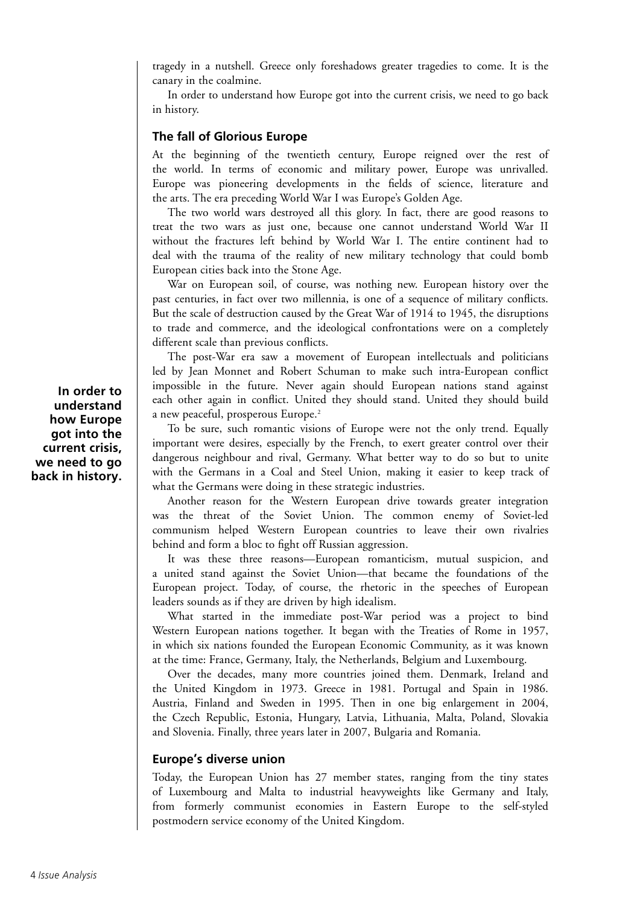tragedy in a nutshell. Greece only foreshadows greater tragedies to come. It is the canary in the coalmine.

In order to understand how Europe got into the current crisis, we need to go back in history.

# **The fall of Glorious Europe**

At the beginning of the twentieth century, Europe reigned over the rest of the world. In terms of economic and military power, Europe was unrivalled. Europe was pioneering developments in the fields of science, literature and the arts. The era preceding World War I was Europe's Golden Age.

The two world wars destroyed all this glory. In fact, there are good reasons to treat the two wars as just one, because one cannot understand World War II without the fractures left behind by World War I. The entire continent had to deal with the trauma of the reality of new military technology that could bomb European cities back into the Stone Age.

War on European soil, of course, was nothing new. European history over the past centuries, in fact over two millennia, is one of a sequence of military conflicts. But the scale of destruction caused by the Great War of 1914 to 1945, the disruptions to trade and commerce, and the ideological confrontations were on a completely different scale than previous conflicts.

The post-War era saw a movement of European intellectuals and politicians led by Jean Monnet and Robert Schuman to make such intra-European conflict impossible in the future. Never again should European nations stand against each other again in conflict. United they should stand. United they should build a new peaceful, prosperous Europe.<sup>2</sup>

To be sure, such romantic visions of Europe were not the only trend. Equally important were desires, especially by the French, to exert greater control over their dangerous neighbour and rival, Germany. What better way to do so but to unite with the Germans in a Coal and Steel Union, making it easier to keep track of what the Germans were doing in these strategic industries.

Another reason for the Western European drive towards greater integration was the threat of the Soviet Union. The common enemy of Soviet-led communism helped Western European countries to leave their own rivalries behind and form a bloc to fight off Russian aggression.

It was these three reasons—European romanticism, mutual suspicion, and a united stand against the Soviet Union—that became the foundations of the European project. Today, of course, the rhetoric in the speeches of European leaders sounds as if they are driven by high idealism.

What started in the immediate post-War period was a project to bind Western European nations together. It began with the Treaties of Rome in 1957, in which six nations founded the European Economic Community, as it was known at the time: France, Germany, Italy, the Netherlands, Belgium and Luxembourg.

Over the decades, many more countries joined them. Denmark, Ireland and the United Kingdom in 1973. Greece in 1981. Portugal and Spain in 1986. Austria, Finland and Sweden in 1995. Then in one big enlargement in 2004, the Czech Republic, Estonia, Hungary, Latvia, Lithuania, Malta, Poland, Slovakia and Slovenia. Finally, three years later in 2007, Bulgaria and Romania.

# **Europe's diverse union**

Today, the European Union has 27 member states, ranging from the tiny states of Luxembourg and Malta to industrial heavyweights like Germany and Italy, from formerly communist economies in Eastern Europe to the self-styled postmodern service economy of the United Kingdom.

**In order to understand how Europe got into the current crisis, we need to go back in history.**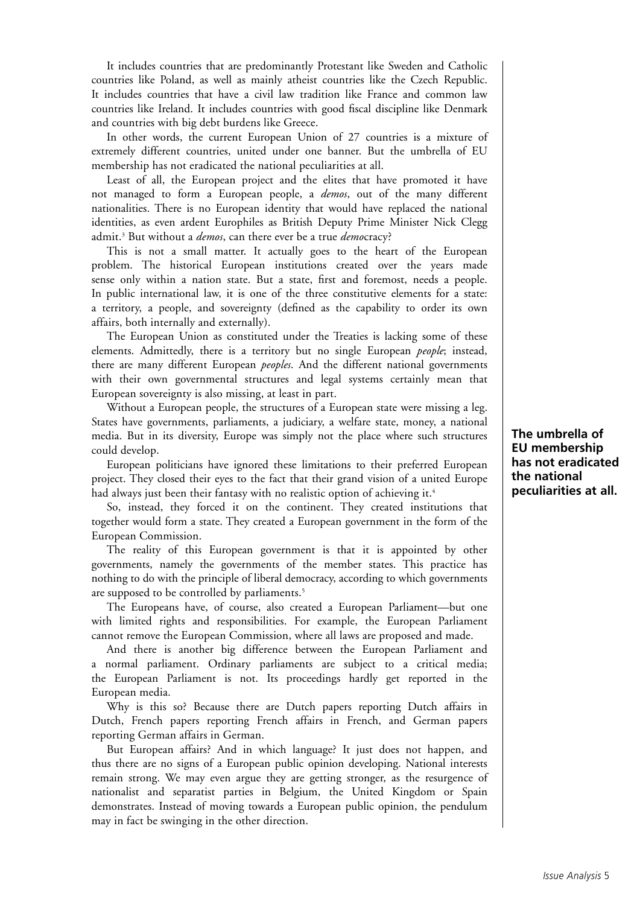It includes countries that are predominantly Protestant like Sweden and Catholic countries like Poland, as well as mainly atheist countries like the Czech Republic. It includes countries that have a civil law tradition like France and common law countries like Ireland. It includes countries with good fiscal discipline like Denmark and countries with big debt burdens like Greece.

In other words, the current European Union of 27 countries is a mixture of extremely different countries, united under one banner. But the umbrella of EU membership has not eradicated the national peculiarities at all.

Least of all, the European project and the elites that have promoted it have not managed to form a European people, a *demos*, out of the many different nationalities. There is no European identity that would have replaced the national identities, as even ardent Europhiles as British Deputy Prime Minister Nick Clegg admit.3 But without a *demos*, can there ever be a true *demo*cracy?

This is not a small matter. It actually goes to the heart of the European problem. The historical European institutions created over the years made sense only within a nation state. But a state, first and foremost, needs a people. In public international law, it is one of the three constitutive elements for a state: a territory, a people, and sovereignty (defined as the capability to order its own affairs, both internally and externally).

The European Union as constituted under the Treaties is lacking some of these elements. Admittedly, there is a territory but no single European *people*; instead, there are many different European *peoples*. And the different national governments with their own governmental structures and legal systems certainly mean that European sovereignty is also missing, at least in part.

Without a European people, the structures of a European state were missing a leg. States have governments, parliaments, a judiciary, a welfare state, money, a national media. But in its diversity, Europe was simply not the place where such structures could develop.

European politicians have ignored these limitations to their preferred European project. They closed their eyes to the fact that their grand vision of a united Europe had always just been their fantasy with no realistic option of achieving it.<sup>4</sup>

So, instead, they forced it on the continent. They created institutions that together would form a state. They created a European government in the form of the European Commission.

The reality of this European government is that it is appointed by other governments, namely the governments of the member states. This practice has nothing to do with the principle of liberal democracy, according to which governments are supposed to be controlled by parliaments.<sup>5</sup>

The Europeans have, of course, also created a European Parliament—but one with limited rights and responsibilities. For example, the European Parliament cannot remove the European Commission, where all laws are proposed and made.

And there is another big difference between the European Parliament and a normal parliament. Ordinary parliaments are subject to a critical media; the European Parliament is not. Its proceedings hardly get reported in the European media.

Why is this so? Because there are Dutch papers reporting Dutch affairs in Dutch, French papers reporting French affairs in French, and German papers reporting German affairs in German.

But European affairs? And in which language? It just does not happen, and thus there are no signs of a European public opinion developing. National interests remain strong. We may even argue they are getting stronger, as the resurgence of nationalist and separatist parties in Belgium, the United Kingdom or Spain demonstrates. Instead of moving towards a European public opinion, the pendulum may in fact be swinging in the other direction.

**The umbrella of EU membership has not eradicated the national peculiarities at all.**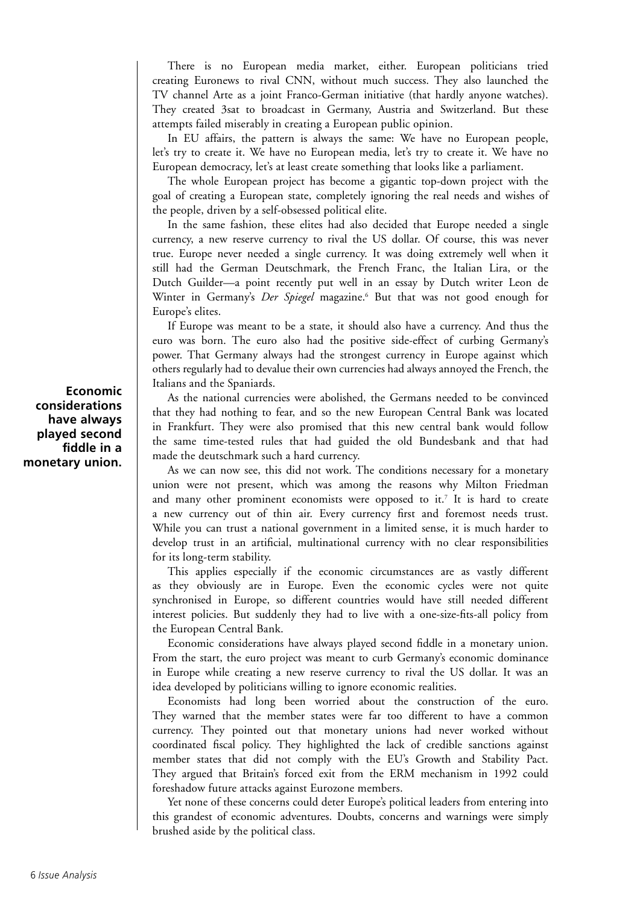There is no European media market, either. European politicians tried creating Euronews to rival CNN, without much success. They also launched the TV channel Arte as a joint Franco-German initiative (that hardly anyone watches). They created 3sat to broadcast in Germany, Austria and Switzerland. But these attempts failed miserably in creating a European public opinion.

In EU affairs, the pattern is always the same: We have no European people, let's try to create it. We have no European media, let's try to create it. We have no European democracy, let's at least create something that looks like a parliament.

The whole European project has become a gigantic top-down project with the goal of creating a European state, completely ignoring the real needs and wishes of the people, driven by a self-obsessed political elite.

In the same fashion, these elites had also decided that Europe needed a single currency, a new reserve currency to rival the US dollar. Of course, this was never true. Europe never needed a single currency. It was doing extremely well when it still had the German Deutschmark, the French Franc, the Italian Lira, or the Dutch Guilder—a point recently put well in an essay by Dutch writer Leon de Winter in Germany's *Der Spiegel* magazine.<sup>6</sup> But that was not good enough for Europe's elites.

If Europe was meant to be a state, it should also have a currency. And thus the euro was born. The euro also had the positive side-effect of curbing Germany's power. That Germany always had the strongest currency in Europe against which others regularly had to devalue their own currencies had always annoyed the French, the Italians and the Spaniards.

As the national currencies were abolished, the Germans needed to be convinced that they had nothing to fear, and so the new European Central Bank was located in Frankfurt. They were also promised that this new central bank would follow the same time-tested rules that had guided the old Bundesbank and that had made the deutschmark such a hard currency.

As we can now see, this did not work. The conditions necessary for a monetary union were not present, which was among the reasons why Milton Friedman and many other prominent economists were opposed to it.7 It is hard to create a new currency out of thin air. Every currency first and foremost needs trust. While you can trust a national government in a limited sense, it is much harder to develop trust in an artificial, multinational currency with no clear responsibilities for its long-term stability.

This applies especially if the economic circumstances are as vastly different as they obviously are in Europe. Even the economic cycles were not quite synchronised in Europe, so different countries would have still needed different interest policies. But suddenly they had to live with a one-size-fits-all policy from the European Central Bank.

Economic considerations have always played second fiddle in a monetary union. From the start, the euro project was meant to curb Germany's economic dominance in Europe while creating a new reserve currency to rival the US dollar. It was an idea developed by politicians willing to ignore economic realities.

Economists had long been worried about the construction of the euro. They warned that the member states were far too different to have a common currency. They pointed out that monetary unions had never worked without coordinated fiscal policy. They highlighted the lack of credible sanctions against member states that did not comply with the EU's Growth and Stability Pact. They argued that Britain's forced exit from the ERM mechanism in 1992 could foreshadow future attacks against Eurozone members.

Yet none of these concerns could deter Europe's political leaders from entering into this grandest of economic adventures. Doubts, concerns and warnings were simply brushed aside by the political class.

**Economic considerations have always played second fiddle in a monetary union.**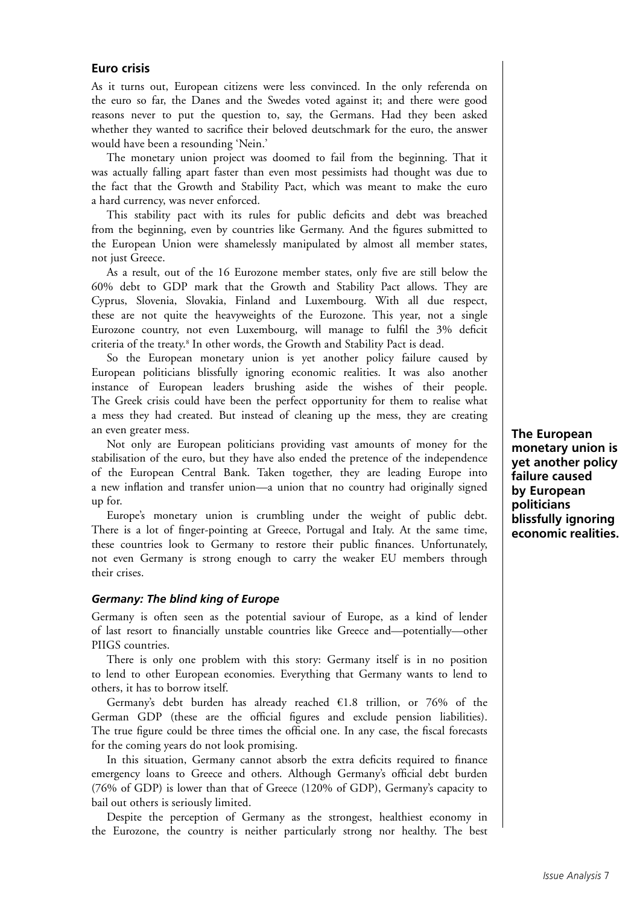# **Euro crisis**

As it turns out, European citizens were less convinced. In the only referenda on the euro so far, the Danes and the Swedes voted against it; and there were good reasons never to put the question to, say, the Germans. Had they been asked whether they wanted to sacrifice their beloved deutschmark for the euro, the answer would have been a resounding 'Nein.'

The monetary union project was doomed to fail from the beginning. That it was actually falling apart faster than even most pessimists had thought was due to the fact that the Growth and Stability Pact, which was meant to make the euro a hard currency, was never enforced.

This stability pact with its rules for public deficits and debt was breached from the beginning, even by countries like Germany. And the figures submitted to the European Union were shamelessly manipulated by almost all member states, not just Greece.

As a result, out of the 16 Eurozone member states, only five are still below the 60% debt to GDP mark that the Growth and Stability Pact allows. They are Cyprus, Slovenia, Slovakia, Finland and Luxembourg. With all due respect, these are not quite the heavyweights of the Eurozone. This year, not a single Eurozone country, not even Luxembourg, will manage to fulfil the 3% deficit criteria of the treaty.8 In other words, the Growth and Stability Pact is dead.

So the European monetary union is yet another policy failure caused by European politicians blissfully ignoring economic realities. It was also another instance of European leaders brushing aside the wishes of their people. The Greek crisis could have been the perfect opportunity for them to realise what a mess they had created. But instead of cleaning up the mess, they are creating an even greater mess.

Not only are European politicians providing vast amounts of money for the stabilisation of the euro, but they have also ended the pretence of the independence of the European Central Bank. Taken together, they are leading Europe into a new inflation and transfer union—a union that no country had originally signed up for.

Europe's monetary union is crumbling under the weight of public debt. There is a lot of finger-pointing at Greece, Portugal and Italy. At the same time, these countries look to Germany to restore their public finances. Unfortunately, not even Germany is strong enough to carry the weaker EU members through their crises.

#### *Germany: The blind king of Europe*

Germany is often seen as the potential saviour of Europe, as a kind of lender of last resort to financially unstable countries like Greece and—potentially—other PIIGS countries.

There is only one problem with this story: Germany itself is in no position to lend to other European economies. Everything that Germany wants to lend to others, it has to borrow itself.

Germany's debt burden has already reached  $£1.8$  trillion, or 76% of the German GDP (these are the official figures and exclude pension liabilities). The true figure could be three times the official one. In any case, the fiscal forecasts for the coming years do not look promising.

In this situation, Germany cannot absorb the extra deficits required to finance emergency loans to Greece and others. Although Germany's official debt burden (76% of GDP) is lower than that of Greece (120% of GDP), Germany's capacity to bail out others is seriously limited.

Despite the perception of Germany as the strongest, healthiest economy in the Eurozone, the country is neither particularly strong nor healthy. The best **The European monetary union is yet another policy failure caused by European politicians blissfully ignoring economic realities.**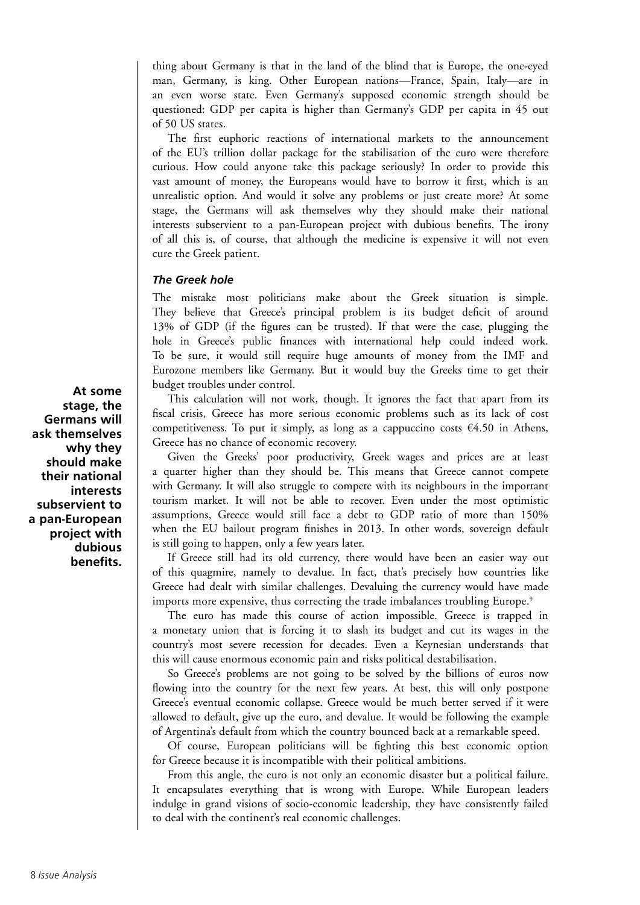thing about Germany is that in the land of the blind that is Europe, the one-eyed man, Germany, is king. Other European nations—France, Spain, Italy—are in an even worse state. Even Germany's supposed economic strength should be questioned: GDP per capita is higher than Germany's GDP per capita in 45 out of 50 US states.

The first euphoric reactions of international markets to the announcement of the EU's trillion dollar package for the stabilisation of the euro were therefore curious. How could anyone take this package seriously? In order to provide this vast amount of money, the Europeans would have to borrow it first, which is an unrealistic option. And would it solve any problems or just create more? At some stage, the Germans will ask themselves why they should make their national interests subservient to a pan-European project with dubious benefits. The irony of all this is, of course, that although the medicine is expensive it will not even cure the Greek patient.

# *The Greek hole*

The mistake most politicians make about the Greek situation is simple. They believe that Greece's principal problem is its budget deficit of around 13% of GDP (if the figures can be trusted). If that were the case, plugging the hole in Greece's public finances with international help could indeed work. To be sure, it would still require huge amounts of money from the IMF and Eurozone members like Germany. But it would buy the Greeks time to get their budget troubles under control.

This calculation will not work, though. It ignores the fact that apart from its fiscal crisis, Greece has more serious economic problems such as its lack of cost competitiveness. To put it simply, as long as a cappuccino costs  $\epsilon$ 4.50 in Athens, Greece has no chance of economic recovery.

Given the Greeks' poor productivity, Greek wages and prices are at least a quarter higher than they should be. This means that Greece cannot compete with Germany. It will also struggle to compete with its neighbours in the important tourism market. It will not be able to recover. Even under the most optimistic assumptions, Greece would still face a debt to GDP ratio of more than 150% when the EU bailout program finishes in 2013. In other words, sovereign default is still going to happen, only a few years later.

If Greece still had its old currency, there would have been an easier way out of this quagmire, namely to devalue. In fact, that's precisely how countries like Greece had dealt with similar challenges. Devaluing the currency would have made imports more expensive, thus correcting the trade imbalances troubling Europe.<sup>9</sup>

The euro has made this course of action impossible. Greece is trapped in a monetary union that is forcing it to slash its budget and cut its wages in the country's most severe recession for decades. Even a Keynesian understands that this will cause enormous economic pain and risks political destabilisation.

So Greece's problems are not going to be solved by the billions of euros now flowing into the country for the next few years. At best, this will only postpone Greece's eventual economic collapse. Greece would be much better served if it were allowed to default, give up the euro, and devalue. It would be following the example of Argentina's default from which the country bounced back at a remarkable speed.

Of course, European politicians will be fighting this best economic option for Greece because it is incompatible with their political ambitions.

From this angle, the euro is not only an economic disaster but a political failure. It encapsulates everything that is wrong with Europe. While European leaders indulge in grand visions of socio-economic leadership, they have consistently failed to deal with the continent's real economic challenges.

**At some stage, the Germans will ask themselves why they should make their national interests subservient to a pan-European project with dubious benefits.**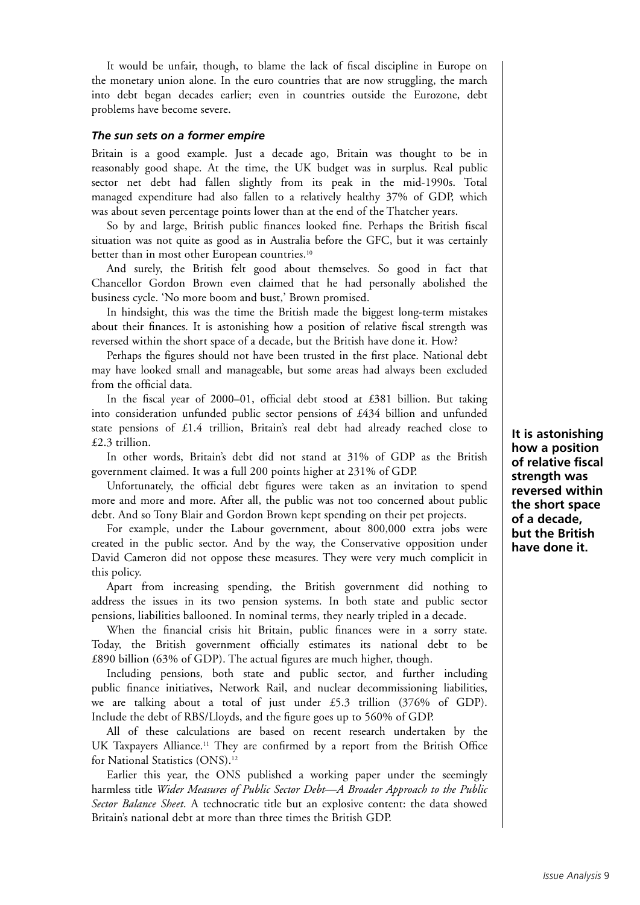It would be unfair, though, to blame the lack of fiscal discipline in Europe on the monetary union alone. In the euro countries that are now struggling, the march into debt began decades earlier; even in countries outside the Eurozone, debt problems have become severe.

#### *The sun sets on a former empire*

Britain is a good example. Just a decade ago, Britain was thought to be in reasonably good shape. At the time, the UK budget was in surplus. Real public sector net debt had fallen slightly from its peak in the mid-1990s. Total managed expenditure had also fallen to a relatively healthy 37% of GDP, which was about seven percentage points lower than at the end of the Thatcher years.

So by and large, British public finances looked fine. Perhaps the British fiscal situation was not quite as good as in Australia before the GFC, but it was certainly better than in most other European countries.<sup>10</sup>

And surely, the British felt good about themselves. So good in fact that Chancellor Gordon Brown even claimed that he had personally abolished the business cycle. 'No more boom and bust,' Brown promised.

In hindsight, this was the time the British made the biggest long-term mistakes about their finances. It is astonishing how a position of relative fiscal strength was reversed within the short space of a decade, but the British have done it. How?

Perhaps the figures should not have been trusted in the first place. National debt may have looked small and manageable, but some areas had always been excluded from the official data.

In the fiscal year of 2000–01, official debt stood at £381 billion. But taking into consideration unfunded public sector pensions of £434 billion and unfunded state pensions of £1.4 trillion, Britain's real debt had already reached close to £2.3 trillion.

In other words, Britain's debt did not stand at 31% of GDP as the British government claimed. It was a full 200 points higher at 231% of GDP.

Unfortunately, the official debt figures were taken as an invitation to spend more and more and more. After all, the public was not too concerned about public debt. And so Tony Blair and Gordon Brown kept spending on their pet projects.

For example, under the Labour government, about 800,000 extra jobs were created in the public sector. And by the way, the Conservative opposition under David Cameron did not oppose these measures. They were very much complicit in this policy.

Apart from increasing spending, the British government did nothing to address the issues in its two pension systems. In both state and public sector pensions, liabilities ballooned. In nominal terms, they nearly tripled in a decade.

When the financial crisis hit Britain, public finances were in a sorry state. Today, the British government officially estimates its national debt to be £890 billion (63% of GDP). The actual figures are much higher, though.

Including pensions, both state and public sector, and further including public finance initiatives, Network Rail, and nuclear decommissioning liabilities, we are talking about a total of just under  $£5.3$  trillion (376% of GDP). Include the debt of RBS/Lloyds, and the figure goes up to 560% of GDP.

All of these calculations are based on recent research undertaken by the UK Taxpayers Alliance.<sup>11</sup> They are confirmed by a report from the British Office for National Statistics (ONS).12

Earlier this year, the ONS published a working paper under the seemingly harmless title *Wider Measures of Public Sector Debt—A Broader Approach to the Public Sector Balance Sheet*. A technocratic title but an explosive content: the data showed Britain's national debt at more than three times the British GDP.

**It is astonishing how a position of relative fiscal strength was reversed within the short space of a decade, but the British have done it.**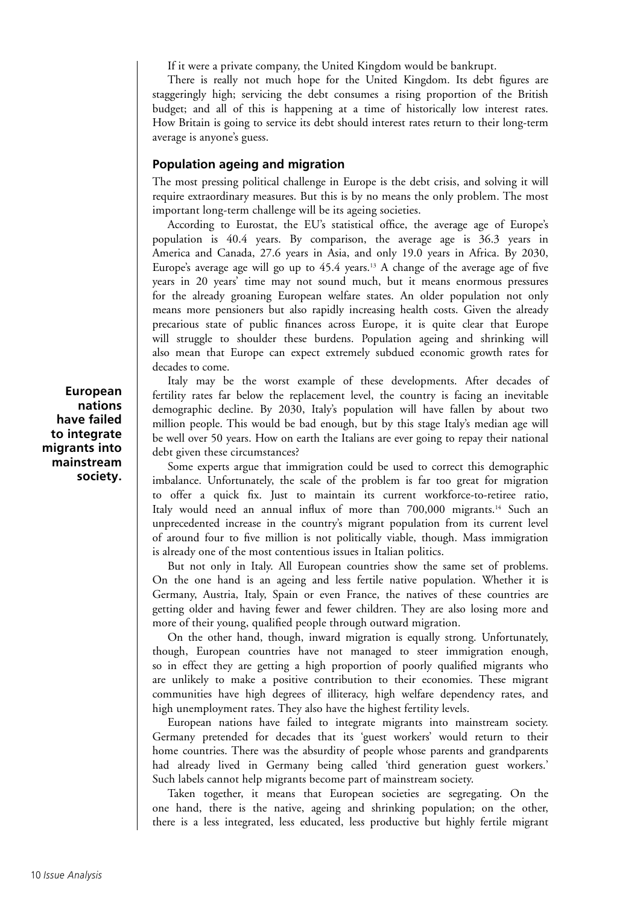If it were a private company, the United Kingdom would be bankrupt.

There is really not much hope for the United Kingdom. Its debt figures are staggeringly high; servicing the debt consumes a rising proportion of the British budget; and all of this is happening at a time of historically low interest rates. How Britain is going to service its debt should interest rates return to their long-term average is anyone's guess.

# **Population ageing and migration**

The most pressing political challenge in Europe is the debt crisis, and solving it will require extraordinary measures. But this is by no means the only problem. The most important long-term challenge will be its ageing societies.

According to Eurostat, the EU's statistical office, the average age of Europe's population is 40.4 years. By comparison, the average age is 36.3 years in America and Canada, 27.6 years in Asia, and only 19.0 years in Africa. By 2030, Europe's average age will go up to  $45.4$  years.<sup>13</sup> A change of the average age of five years in 20 years' time may not sound much, but it means enormous pressures for the already groaning European welfare states. An older population not only means more pensioners but also rapidly increasing health costs. Given the already precarious state of public finances across Europe, it is quite clear that Europe will struggle to shoulder these burdens. Population ageing and shrinking will also mean that Europe can expect extremely subdued economic growth rates for decades to come.

Italy may be the worst example of these developments. After decades of fertility rates far below the replacement level, the country is facing an inevitable demographic decline. By 2030, Italy's population will have fallen by about two million people. This would be bad enough, but by this stage Italy's median age will be well over 50 years. How on earth the Italians are ever going to repay their national debt given these circumstances?

Some experts argue that immigration could be used to correct this demographic imbalance. Unfortunately, the scale of the problem is far too great for migration to offer a quick fix. Just to maintain its current workforce-to-retiree ratio, Italy would need an annual influx of more than 700,000 migrants.14 Such an unprecedented increase in the country's migrant population from its current level of around four to five million is not politically viable, though. Mass immigration is already one of the most contentious issues in Italian politics.

But not only in Italy. All European countries show the same set of problems. On the one hand is an ageing and less fertile native population. Whether it is Germany, Austria, Italy, Spain or even France, the natives of these countries are getting older and having fewer and fewer children. They are also losing more and more of their young, qualified people through outward migration.

On the other hand, though, inward migration is equally strong. Unfortunately, though, European countries have not managed to steer immigration enough, so in effect they are getting a high proportion of poorly qualified migrants who are unlikely to make a positive contribution to their economies. These migrant communities have high degrees of illiteracy, high welfare dependency rates, and high unemployment rates. They also have the highest fertility levels.

European nations have failed to integrate migrants into mainstream society. Germany pretended for decades that its 'guest workers' would return to their home countries. There was the absurdity of people whose parents and grandparents had already lived in Germany being called 'third generation guest workers.' Such labels cannot help migrants become part of mainstream society.

Taken together, it means that European societies are segregating. On the one hand, there is the native, ageing and shrinking population; on the other, there is a less integrated, less educated, less productive but highly fertile migrant

**European nations have failed to integrate migrants into mainstream society.**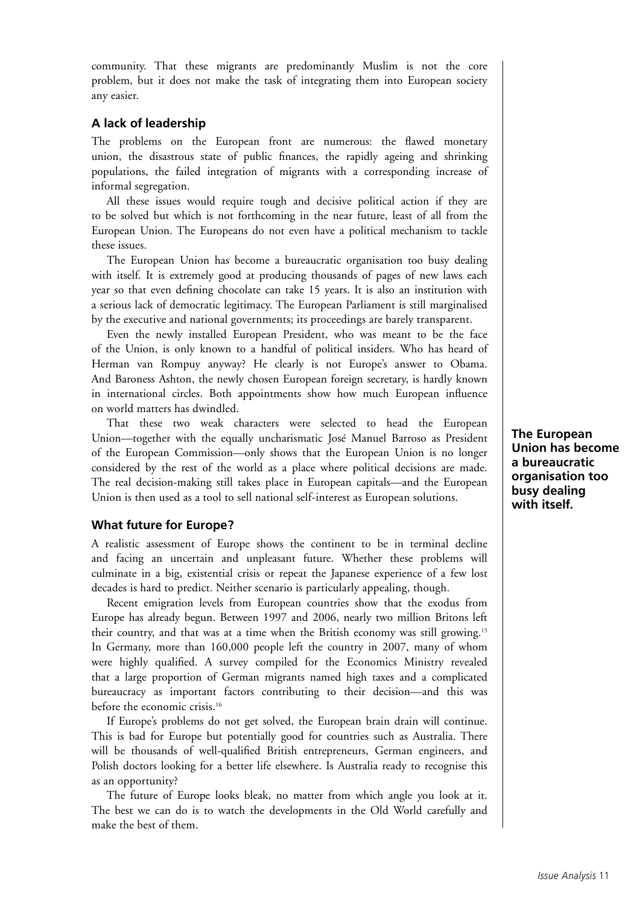community. That these migrants are predominantly Muslim is not the core problem, but it does not make the task of integrating them into European society any easier.

# **A lack of leadership**

The problems on the European front are numerous: the flawed monetary union, the disastrous state of public finances, the rapidly ageing and shrinking populations, the failed integration of migrants with a corresponding increase of informal segregation.

All these issues would require tough and decisive political action if they are to be solved but which is not forthcoming in the near future, least of all from the European Union. The Europeans do not even have a political mechanism to tackle these issues.

The European Union has become a bureaucratic organisation too busy dealing with itself. It is extremely good at producing thousands of pages of new laws each year so that even defining chocolate can take 15 years. It is also an institution with a serious lack of democratic legitimacy. The European Parliament is still marginalised by the executive and national governments; its proceedings are barely transparent.

Even the newly installed European President, who was meant to be the face of the Union, is only known to a handful of political insiders. Who has heard of Herman van Rompuy anyway? He clearly is not Europe's answer to Obama. And Baroness Ashton, the newly chosen European foreign secretary, is hardly known in international circles. Both appointments show how much European influence on world matters has dwindled.

That these two weak characters were selected to head the European Union—together with the equally uncharismatic José Manuel Barroso as President of the European Commission—only shows that the European Union is no longer considered by the rest of the world as a place where political decisions are made. The real decision-making still takes place in European capitals—and the European Union is then used as a tool to sell national self-interest as European solutions.

# **What future for Europe?**

A realistic assessment of Europe shows the continent to be in terminal decline and facing an uncertain and unpleasant future. Whether these problems will culminate in a big, existential crisis or repeat the Japanese experience of a few lost decades is hard to predict. Neither scenario is particularly appealing, though.

Recent emigration levels from European countries show that the exodus from Europe has already begun. Between 1997 and 2006, nearly two million Britons left their country, and that was at a time when the British economy was still growing.15 In Germany, more than 160,000 people left the country in 2007, many of whom were highly qualified. A survey compiled for the Economics Ministry revealed that a large proportion of German migrants named high taxes and a complicated bureaucracy as important factors contributing to their decision—and this was before the economic crisis.<sup>16</sup>

If Europe's problems do not get solved, the European brain drain will continue. This is bad for Europe but potentially good for countries such as Australia. There will be thousands of well-qualified British entrepreneurs, German engineers, and Polish doctors looking for a better life elsewhere. Is Australia ready to recognise this as an opportunity?

The future of Europe looks bleak, no matter from which angle you look at it. The best we can do is to watch the developments in the Old World carefully and make the best of them.

**The European Union has become a bureaucratic organisation too busy dealing with itself.**